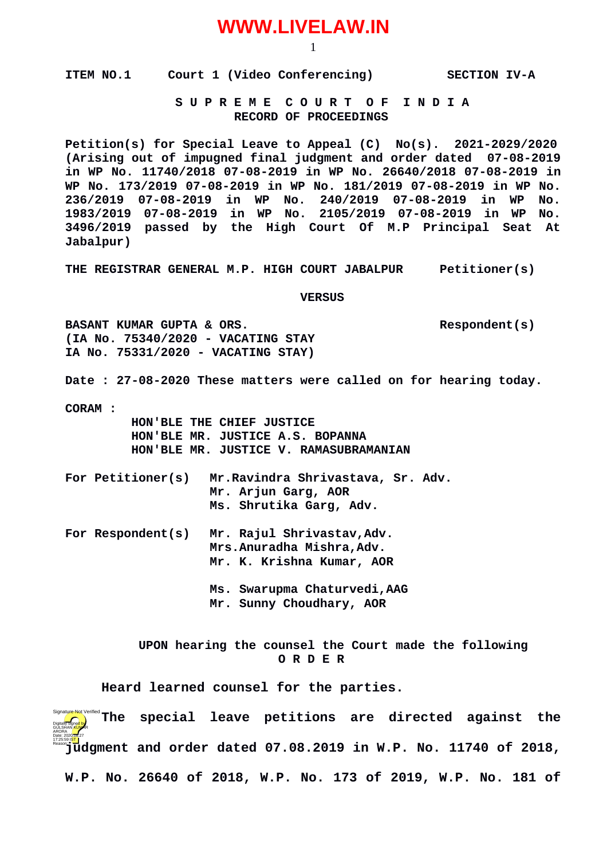## **WWW.LIVELAW.IN**

1

**ITEM NO.1 Court 1 (Video Conferencing) SECTION IV-A**

 **S U P R E M E C O U R T O F I N D I A RECORD OF PROCEEDINGS**

**Petition(s) for Special Leave to Appeal (C) No(s). 2021-2029/2020 (Arising out of impugned final judgment and order dated 07-08-2019 in WP No. 11740/2018 07-08-2019 in WP No. 26640/2018 07-08-2019 in WP No. 173/2019 07-08-2019 in WP No. 181/2019 07-08-2019 in WP No. 236/2019 07-08-2019 in WP No. 240/2019 07-08-2019 in WP No. 1983/2019 07-08-2019 in WP No. 2105/2019 07-08-2019 in WP No. 3496/2019 passed by the High Court Of M.P Principal Seat At Jabalpur)**

**THE REGISTRAR GENERAL M.P. HIGH COURT JABALPUR Petitioner(s)**

 **VERSUS**

**BASANT KUMAR GUPTA & ORS.** And the second of the second respondent (s) **(IA No. 75340/2020 - VACATING STAY IA No. 75331/2020 - VACATING STAY)**

**Date : 27-08-2020 These matters were called on for hearing today.**

**CORAM :** 

 **HON'BLE THE CHIEF JUSTICE HON'BLE MR. JUSTICE A.S. BOPANNA HON'BLE MR. JUSTICE V. RAMASUBRAMANIAN**

- **For Petitioner(s) Mr.Ravindra Shrivastava, Sr. Adv. Mr. Arjun Garg, AOR Ms. Shrutika Garg, Adv.**
- **For Respondent(s) Mr. Rajul Shrivastav,Adv. Mrs.Anuradha Mishra,Adv. Mr. K. Krishna Kumar, AOR**
	- **Ms. Swarupma Chaturvedi,AAG Mr. Sunny Choudhary, AOR**

 **UPON hearing the counsel the Court made the following O R D E R**

**Heard learned counsel for the parties.**

**Installer Not Verified's The special leave petitions are directed against the issued in East 2018, Islam and order dated 07.08.2019 in W.P. No. 11740 of 2018, W.P. No. 26640 of 2018, W.P. No. 173 of 2019, W.P. No. 181 of** Digitally signed by GÜLSHAN <mark>KUM</mark>AR ARORA Date: 2020.08.27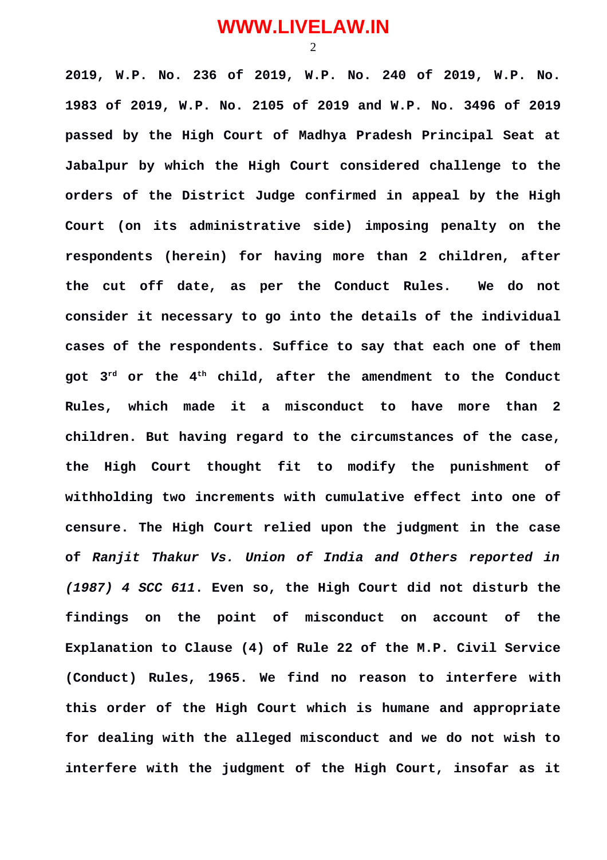## **WWW.LIVELAW.IN**

2

**2019, W.P. No. 236 of 2019, W.P. No. 240 of 2019, W.P. No. 1983 of 2019, W.P. No. 2105 of 2019 and W.P. No. 3496 of 2019 passed by the High Court of Madhya Pradesh Principal Seat at Jabalpur by which the High Court considered challenge to the orders of the District Judge confirmed in appeal by the High Court (on its administrative side) imposing penalty on the respondents (herein) for having more than 2 children, after the cut off date, as per the Conduct Rules. We do not consider it necessary to go into the details of the individual cases of the respondents. Suffice to say that each one of them got 3rd or the 4th child, after the amendment to the Conduct Rules, which made it a misconduct to have more than 2 children. But having regard to the circumstances of the case, the High Court thought fit to modify the punishment of withholding two increments with cumulative effect into one of censure. The High Court relied upon the judgment in the case of** *Ranjit Thakur Vs. Union of India and Others reported in (1987) 4 SCC 611***. Even so, the High Court did not disturb the findings on the point of misconduct on account of the Explanation to Clause (4) of Rule 22 of the M.P. Civil Service (Conduct) Rules, 1965. We find no reason to interfere with this order of the High Court which is humane and appropriate for dealing with the alleged misconduct and we do not wish to interfere with the judgment of the High Court, insofar as it**